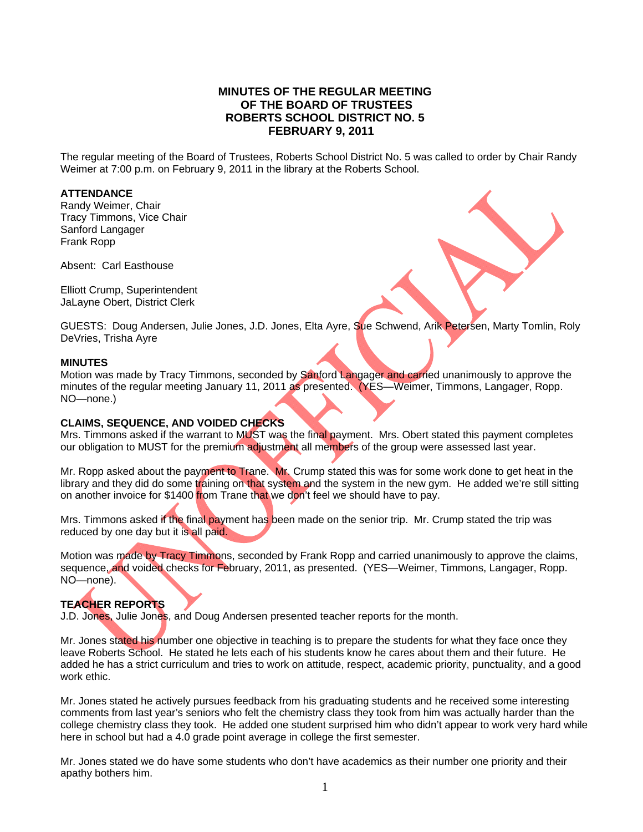# **MINUTES OF THE REGULAR MEETING OF THE BOARD OF TRUSTEES ROBERTS SCHOOL DISTRICT NO. 5 FEBRUARY 9, 2011**

The regular meeting of the Board of Trustees, Roberts School District No. 5 was called to order by Chair Randy Weimer at 7:00 p.m. on February 9, 2011 in the library at the Roberts School.

### **ATTENDANCE**

Randy Weimer, Chair Tracy Timmons, Vice Chair Sanford Langager Frank Ropp

Absent: Carl Easthouse

Elliott Crump, Superintendent JaLayne Obert, District Clerk

GUESTS: Doug Andersen, Julie Jones, J.D. Jones, Elta Ayre, Sue Schwend, Arik Petersen, Marty Tomlin, Roly DeVries, Trisha Ayre

#### **MINUTES**

Motion was made by Tracy Timmons, seconded by Sanford Langager and carried unanimously to approve the minutes of the regular meeting January 11, 2011 as presented. (YES—Weimer, Timmons, Langager, Ropp. NO—none.)

#### **CLAIMS, SEQUENCE, AND VOIDED CHECKS**

Mrs. Timmons asked if the warrant to MUST was the final payment. Mrs. Obert stated this payment completes our obligation to MUST for the premium adjustment all members of the group were assessed last year.

Mr. Ropp asked about the payment to Trane. Mr. Crump stated this was for some work done to get heat in the library and they did do some training on that system and the system in the new gym. He added we're still sitting on another invoice for \$1400 from Trane that we don't feel we should have to pay.

Mrs. Timmons asked if the final payment has been made on the senior trip. Mr. Crump stated the trip was reduced by one day but it is all paid.

Motion was made by Tracy Timmons, seconded by Frank Ropp and carried unanimously to approve the claims, sequence, and voided checks for February, 2011, as presented. (YES—Weimer, Timmons, Langager, Ropp. NO—none).

## **TEACHER REPORTS**

J.D. Jones, Julie Jones, and Doug Andersen presented teacher reports for the month.

Mr. Jones stated his number one objective in teaching is to prepare the students for what they face once they leave Roberts School. He stated he lets each of his students know he cares about them and their future. He added he has a strict curriculum and tries to work on attitude, respect, academic priority, punctuality, and a good work ethic.

Mr. Jones stated he actively pursues feedback from his graduating students and he received some interesting comments from last year's seniors who felt the chemistry class they took from him was actually harder than the college chemistry class they took. He added one student surprised him who didn't appear to work very hard while here in school but had a 4.0 grade point average in college the first semester.

Mr. Jones stated we do have some students who don't have academics as their number one priority and their apathy bothers him.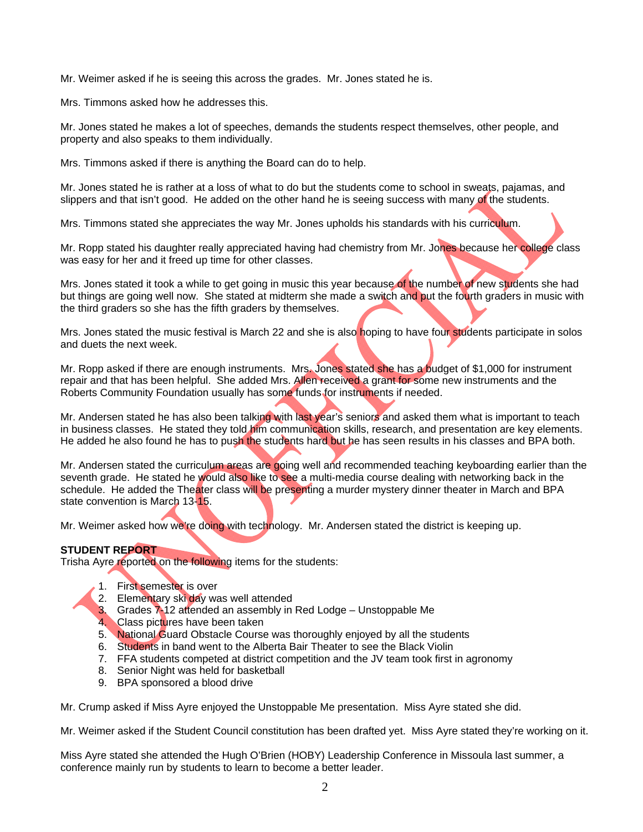Mr. Weimer asked if he is seeing this across the grades. Mr. Jones stated he is.

Mrs. Timmons asked how he addresses this.

Mr. Jones stated he makes a lot of speeches, demands the students respect themselves, other people, and property and also speaks to them individually.

Mrs. Timmons asked if there is anything the Board can do to help.

Mr. Jones stated he is rather at a loss of what to do but the students come to school in sweats, pajamas, and slippers and that isn't good. He added on the other hand he is seeing success with many of the students.

Mrs. Timmons stated she appreciates the way Mr. Jones upholds his standards with his curriculum.

Mr. Ropp stated his daughter really appreciated having had chemistry from Mr. Jones because her college class was easy for her and it freed up time for other classes.

Mrs. Jones stated it took a while to get going in music this year because of the number of new students she had but things are going well now. She stated at midterm she made a switch and put the fourth graders in music with the third graders so she has the fifth graders by themselves.

Mrs. Jones stated the music festival is March 22 and she is also hoping to have four students participate in solos and duets the next week.

Mr. Ropp asked if there are enough instruments. Mrs. Jones stated she has a budget of \$1,000 for instrument repair and that has been helpful. She added Mrs. Allen received a grant for some new instruments and the Roberts Community Foundation usually has some funds for instruments if needed.

Mr. Andersen stated he has also been talking with last year's seniors and asked them what is important to teach in business classes. He stated they told him communication skills, research, and presentation are key elements. He added he also found he has to push the students hard but he has seen results in his classes and BPA both.

Mr. Andersen stated the curriculum areas are going well and recommended teaching keyboarding earlier than the seventh grade. He stated he would also like to see a multi-media course dealing with networking back in the schedule. He added the Theater class will be presenting a murder mystery dinner theater in March and BPA state convention is March 13-15.

Mr. Weimer asked how we're doing with technology. Mr. Andersen stated the district is keeping up.

## **STUDENT REPORT**

Trisha Ayre reported on the following items for the students:

- 1. First semester is over
- 2. Elementary ski day was well attended
- 3. Grades 7-12 attended an assembly in Red Lodge Unstoppable Me
- 4. Class pictures have been taken
- 5. National Guard Obstacle Course was thoroughly enjoyed by all the students
- 6. Students in band went to the Alberta Bair Theater to see the Black Violin
- 7. FFA students competed at district competition and the JV team took first in agronomy
- 8. Senior Night was held for basketball
- 9. BPA sponsored a blood drive

Mr. Crump asked if Miss Ayre enjoyed the Unstoppable Me presentation. Miss Ayre stated she did.

Mr. Weimer asked if the Student Council constitution has been drafted yet. Miss Ayre stated they're working on it.

Miss Ayre stated she attended the Hugh O'Brien (HOBY) Leadership Conference in Missoula last summer, a conference mainly run by students to learn to become a better leader.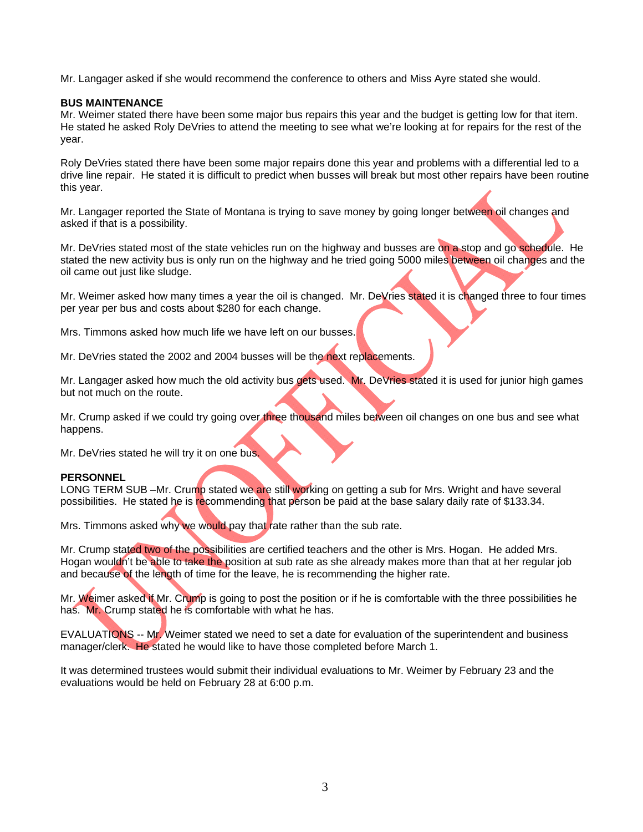Mr. Langager asked if she would recommend the conference to others and Miss Ayre stated she would.

### **BUS MAINTENANCE**

Mr. Weimer stated there have been some major bus repairs this year and the budget is getting low for that item. He stated he asked Roly DeVries to attend the meeting to see what we're looking at for repairs for the rest of the year.

Roly DeVries stated there have been some major repairs done this year and problems with a differential led to a drive line repair. He stated it is difficult to predict when busses will break but most other repairs have been routine this year.

Mr. Langager reported the State of Montana is trying to save money by going longer between oil changes and asked if that is a possibility.

Mr. DeVries stated most of the state vehicles run on the highway and busses are on a stop and go schedule. He stated the new activity bus is only run on the highway and he tried going 5000 miles between oil changes and the oil came out just like sludge.

Mr. Weimer asked how many times a year the oil is changed. Mr. DeVries stated it is changed three to four times per year per bus and costs about \$280 for each change.

Mrs. Timmons asked how much life we have left on our busses.

Mr. DeVries stated the 2002 and 2004 busses will be the next replacements.

Mr. Langager asked how much the old activity bus gets used. Mr. DeVries stated it is used for junior high games but not much on the route.

Mr. Crump asked if we could try going over three thousand miles between oil changes on one bus and see what happens.

Mr. DeVries stated he will try it on one bus.

#### **PERSONNEL**

LONG TERM SUB –Mr. Crump stated we are still working on getting a sub for Mrs. Wright and have several possibilities. He stated he is recommending that person be paid at the base salary daily rate of \$133.34.

Mrs. Timmons asked why we would pay that rate rather than the sub rate.

Mr. Crump stated two of the possibilities are certified teachers and the other is Mrs. Hogan. He added Mrs. Hogan wouldn't be able to take the position at sub rate as she already makes more than that at her regular job and because of the length of time for the leave, he is recommending the higher rate.

Mr. Weimer asked if Mr. Crump is going to post the position or if he is comfortable with the three possibilities he has. Mr. Crump stated he is comfortable with what he has.

EVALUATIONS -- Mr. Weimer stated we need to set a date for evaluation of the superintendent and business manager/clerk. He stated he would like to have those completed before March 1.

It was determined trustees would submit their individual evaluations to Mr. Weimer by February 23 and the evaluations would be held on February 28 at 6:00 p.m.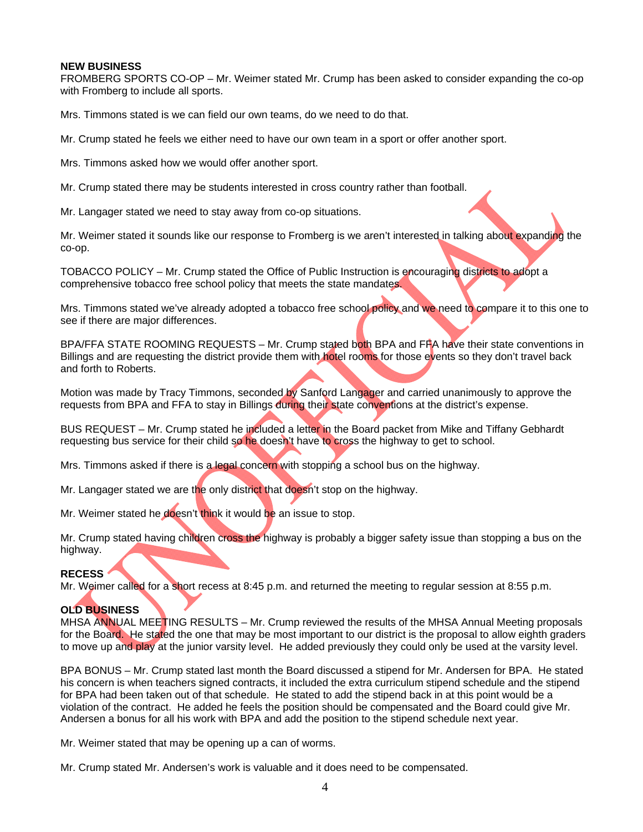#### **NEW BUSINESS**

FROMBERG SPORTS CO-OP – Mr. Weimer stated Mr. Crump has been asked to consider expanding the co-op with Fromberg to include all sports.

Mrs. Timmons stated is we can field our own teams, do we need to do that.

Mr. Crump stated he feels we either need to have our own team in a sport or offer another sport.

Mrs. Timmons asked how we would offer another sport.

Mr. Crump stated there may be students interested in cross country rather than football.

Mr. Langager stated we need to stay away from co-op situations.

Mr. Weimer stated it sounds like our response to Fromberg is we aren't interested in talking about expanding the co-op.

TOBACCO POLICY – Mr. Crump stated the Office of Public Instruction is encouraging districts to adopt a comprehensive tobacco free school policy that meets the state mandates.

Mrs. Timmons stated we've already adopted a tobacco free school policy and we need to compare it to this one to see if there are major differences.

BPA/FFA STATE ROOMING REQUESTS – Mr. Crump stated both BPA and FFA have their state conventions in Billings and are requesting the district provide them with hotel rooms for those events so they don't travel back and forth to Roberts.

Motion was made by Tracy Timmons, seconded by Sanford Langager and carried unanimously to approve the requests from BPA and FFA to stay in Billings during their state conventions at the district's expense.

BUS REQUEST – Mr. Crump stated he included a letter in the Board packet from Mike and Tiffany Gebhardt requesting bus service for their child so he doesn't have to cross the highway to get to school.

Mrs. Timmons asked if there is a legal concern with stopping a school bus on the highway.

Mr. Langager stated we are the only district that doesn't stop on the highway.

Mr. Weimer stated he doesn't think it would be an issue to stop.

Mr. Crump stated having children cross the highway is probably a bigger safety issue than stopping a bus on the highway.

#### **RECESS**

Mr. Weimer called for a short recess at 8:45 p.m. and returned the meeting to regular session at 8:55 p.m.

#### **OLD BUSINESS**

MHSA ANNUAL MEETING RESULTS – Mr. Crump reviewed the results of the MHSA Annual Meeting proposals for the Board. He stated the one that may be most important to our district is the proposal to allow eighth graders to move up and play at the junior varsity level. He added previously they could only be used at the varsity level.

BPA BONUS – Mr. Crump stated last month the Board discussed a stipend for Mr. Andersen for BPA. He stated his concern is when teachers signed contracts, it included the extra curriculum stipend schedule and the stipend for BPA had been taken out of that schedule. He stated to add the stipend back in at this point would be a violation of the contract. He added he feels the position should be compensated and the Board could give Mr. Andersen a bonus for all his work with BPA and add the position to the stipend schedule next year.

Mr. Weimer stated that may be opening up a can of worms.

Mr. Crump stated Mr. Andersen's work is valuable and it does need to be compensated.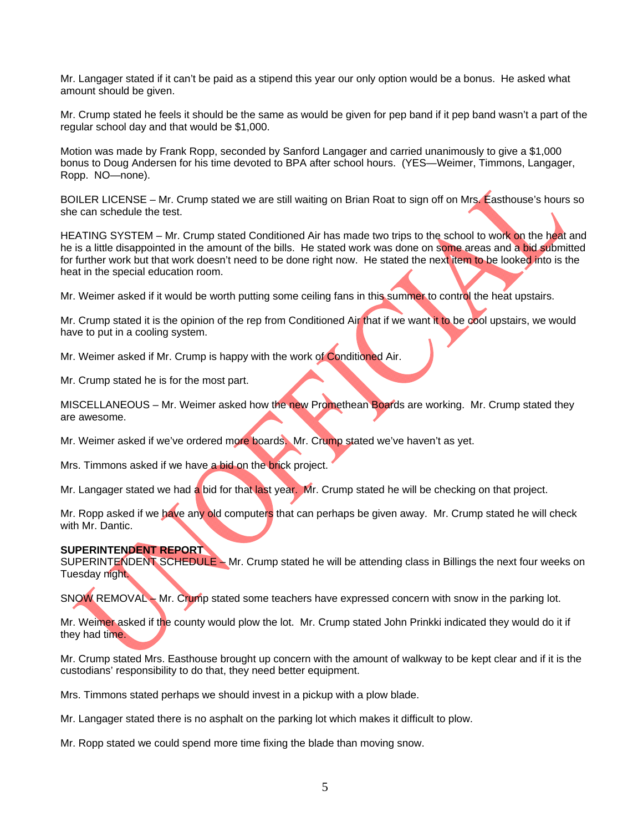Mr. Langager stated if it can't be paid as a stipend this year our only option would be a bonus. He asked what amount should be given.

Mr. Crump stated he feels it should be the same as would be given for pep band if it pep band wasn't a part of the regular school day and that would be \$1,000.

Motion was made by Frank Ropp, seconded by Sanford Langager and carried unanimously to give a \$1,000 bonus to Doug Andersen for his time devoted to BPA after school hours. (YES—Weimer, Timmons, Langager, Ropp. NO—none).

BOILER LICENSE – Mr. Crump stated we are still waiting on Brian Roat to sign off on Mrs. Easthouse's hours so she can schedule the test.

HEATING SYSTEM – Mr. Crump stated Conditioned Air has made two trips to the school to work on the heat and he is a little disappointed in the amount of the bills. He stated work was done on some areas and a bid submitted for further work but that work doesn't need to be done right now. He stated the next item to be looked into is the heat in the special education room.

Mr. Weimer asked if it would be worth putting some ceiling fans in this summer to control the heat upstairs.

Mr. Crump stated it is the opinion of the rep from Conditioned Air that if we want it to be cool upstairs, we would have to put in a cooling system.

Mr. Weimer asked if Mr. Crump is happy with the work of Conditioned Air.

Mr. Crump stated he is for the most part.

MISCELLANEOUS - Mr. Weimer asked how the new Promethean Boards are working. Mr. Crump stated they are awesome.

Mr. Weimer asked if we've ordered more boards. Mr. Crump stated we've haven't as yet.

Mrs. Timmons asked if we have a bid on the brick project.

Mr. Langager stated we had a bid for that last year. Mr. Crump stated he will be checking on that project.

Mr. Ropp asked if we have any old computers that can perhaps be given away. Mr. Crump stated he will check with Mr. Dantic.

#### **SUPERINTENDENT REPORT**

SUPERINTENDENT SCHEDULE – Mr. Crump stated he will be attending class in Billings the next four weeks on Tuesday night.

SNOW REMOVAL – Mr. Crump stated some teachers have expressed concern with snow in the parking lot.

Mr. Weimer asked if the county would plow the lot. Mr. Crump stated John Prinkki indicated they would do it if they had time.

Mr. Crump stated Mrs. Easthouse brought up concern with the amount of walkway to be kept clear and if it is the custodians' responsibility to do that, they need better equipment.

Mrs. Timmons stated perhaps we should invest in a pickup with a plow blade.

Mr. Langager stated there is no asphalt on the parking lot which makes it difficult to plow.

Mr. Ropp stated we could spend more time fixing the blade than moving snow.